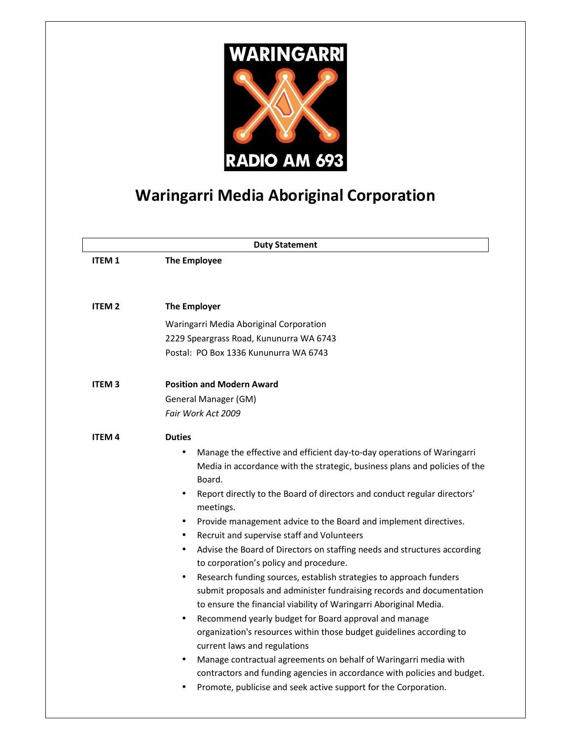

## **Waringarri Media Aboriginal Corporation**

| <b>Duty Statement</b> |                                                                                                                                                                                                                                                                                                                                                                                                                                                                                                                                                                                                                                                                                                                                                                                                                                                                                                                                                                                                                                                                                                                                                                                                         |
|-----------------------|---------------------------------------------------------------------------------------------------------------------------------------------------------------------------------------------------------------------------------------------------------------------------------------------------------------------------------------------------------------------------------------------------------------------------------------------------------------------------------------------------------------------------------------------------------------------------------------------------------------------------------------------------------------------------------------------------------------------------------------------------------------------------------------------------------------------------------------------------------------------------------------------------------------------------------------------------------------------------------------------------------------------------------------------------------------------------------------------------------------------------------------------------------------------------------------------------------|
| <b>ITEM1</b>          | <b>The Employee</b>                                                                                                                                                                                                                                                                                                                                                                                                                                                                                                                                                                                                                                                                                                                                                                                                                                                                                                                                                                                                                                                                                                                                                                                     |
|                       |                                                                                                                                                                                                                                                                                                                                                                                                                                                                                                                                                                                                                                                                                                                                                                                                                                                                                                                                                                                                                                                                                                                                                                                                         |
| <b>ITEM 2</b>         | <b>The Employer</b>                                                                                                                                                                                                                                                                                                                                                                                                                                                                                                                                                                                                                                                                                                                                                                                                                                                                                                                                                                                                                                                                                                                                                                                     |
|                       | Waringarri Media Aboriginal Corporation                                                                                                                                                                                                                                                                                                                                                                                                                                                                                                                                                                                                                                                                                                                                                                                                                                                                                                                                                                                                                                                                                                                                                                 |
|                       | 2229 Speargrass Road, Kununurra WA 6743                                                                                                                                                                                                                                                                                                                                                                                                                                                                                                                                                                                                                                                                                                                                                                                                                                                                                                                                                                                                                                                                                                                                                                 |
|                       | Postal: PO Box 1336 Kununurra WA 6743                                                                                                                                                                                                                                                                                                                                                                                                                                                                                                                                                                                                                                                                                                                                                                                                                                                                                                                                                                                                                                                                                                                                                                   |
| <b>ITEM3</b>          | <b>Position and Modern Award</b>                                                                                                                                                                                                                                                                                                                                                                                                                                                                                                                                                                                                                                                                                                                                                                                                                                                                                                                                                                                                                                                                                                                                                                        |
|                       | General Manager (GM)                                                                                                                                                                                                                                                                                                                                                                                                                                                                                                                                                                                                                                                                                                                                                                                                                                                                                                                                                                                                                                                                                                                                                                                    |
|                       | Fair Work Act 2009                                                                                                                                                                                                                                                                                                                                                                                                                                                                                                                                                                                                                                                                                                                                                                                                                                                                                                                                                                                                                                                                                                                                                                                      |
| <b>ITEM 4</b>         | <b>Duties</b>                                                                                                                                                                                                                                                                                                                                                                                                                                                                                                                                                                                                                                                                                                                                                                                                                                                                                                                                                                                                                                                                                                                                                                                           |
|                       | Manage the effective and efficient day-to-day operations of Waringarri<br>$\bullet$<br>Media in accordance with the strategic, business plans and policies of the<br>Board.<br>Report directly to the Board of directors and conduct regular directors'<br>$\bullet$<br>meetings.<br>Provide management advice to the Board and implement directives.<br>$\bullet$<br>Recruit and supervise staff and Volunteers<br>$\bullet$<br>Advise the Board of Directors on staffing needs and structures according<br>$\bullet$<br>to corporation's policy and procedure.<br>Research funding sources, establish strategies to approach funders<br>$\bullet$<br>submit proposals and administer fundraising records and documentation<br>to ensure the financial viability of Waringarri Aboriginal Media.<br>Recommend yearly budget for Board approval and manage<br>$\bullet$<br>organization's resources within those budget guidelines according to<br>current laws and regulations<br>Manage contractual agreements on behalf of Waringarri media with<br>٠<br>contractors and funding agencies in accordance with policies and budget.<br>Promote, publicise and seek active support for the Corporation. |